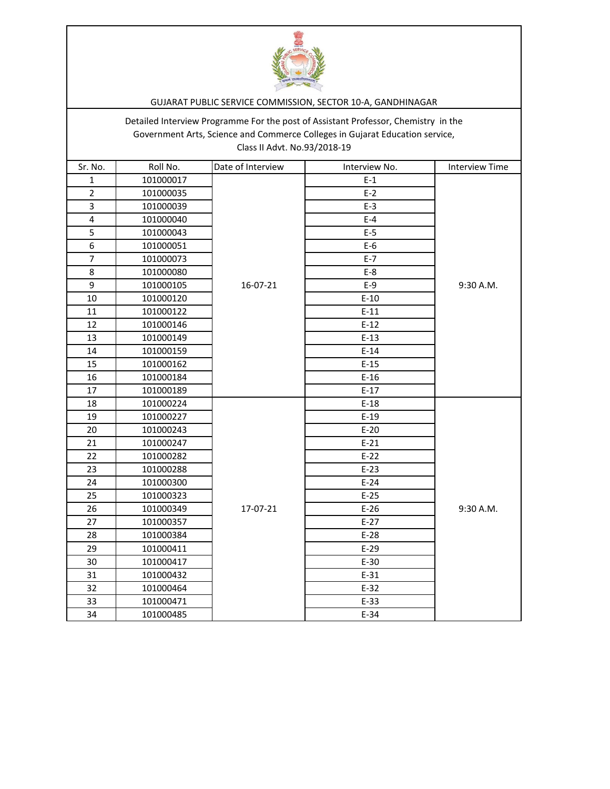

## GUJARAT PUBLIC SERVICE COMMISSION, SECTOR 10-A, GANDHINAGAR

Detailed Interview Programme For the post of Assistant Professor, Chemistry in the Government Arts, Science and Commerce Colleges in Gujarat Education service, Class II Advt. No.93/2018-19

| Sr. No.                 | Roll No.  | Date of Interview | Interview No. | <b>Interview Time</b> |
|-------------------------|-----------|-------------------|---------------|-----------------------|
| $\mathbf{1}$            | 101000017 |                   | $E-1$         |                       |
| $\overline{2}$          | 101000035 |                   | $E-2$         |                       |
| 3                       | 101000039 |                   | $E-3$         |                       |
| $\overline{\mathbf{4}}$ | 101000040 |                   | $E-4$         |                       |
| 5                       | 101000043 |                   | $E-5$         |                       |
| 6                       | 101000051 |                   | $E-6$         |                       |
| $\overline{7}$          | 101000073 |                   | $E-7$         |                       |
| 8                       | 101000080 |                   | $E-8$         |                       |
| 9                       | 101000105 | 16-07-21          | $E-9$         | 9:30 A.M.             |
| 10                      | 101000120 |                   | $E-10$        |                       |
| 11                      | 101000122 |                   | $E-11$        |                       |
| 12                      | 101000146 |                   | $E-12$        |                       |
| 13                      | 101000149 |                   | $E-13$        |                       |
| 14                      | 101000159 |                   | $E-14$        |                       |
| 15                      | 101000162 |                   | $E-15$        |                       |
| 16                      | 101000184 |                   | $E-16$        |                       |
| 17                      | 101000189 |                   | $E-17$        |                       |
| 18                      | 101000224 |                   | $E-18$        |                       |
| 19                      | 101000227 |                   | $E-19$        |                       |
| 20                      | 101000243 |                   | $E-20$        |                       |
| 21                      | 101000247 |                   | $E-21$        |                       |
| 22                      | 101000282 |                   | $E-22$        |                       |
| 23                      | 101000288 |                   | $E-23$        |                       |
| 24                      | 101000300 |                   | $E-24$        |                       |
| 25                      | 101000323 |                   | $E-25$        |                       |
| 26                      | 101000349 | 17-07-21          | $E-26$        | 9:30 A.M.             |
| 27                      | 101000357 |                   | $E-27$        |                       |
| 28                      | 101000384 |                   | $E-28$        |                       |
| 29                      | 101000411 |                   | $E-29$        |                       |
| 30                      | 101000417 |                   | $E-30$        |                       |
| 31                      | 101000432 |                   | $E-31$        |                       |
| 32                      | 101000464 |                   | $E-32$        |                       |
| 33                      | 101000471 |                   | $E-33$        |                       |
| 34                      | 101000485 |                   | $E-34$        |                       |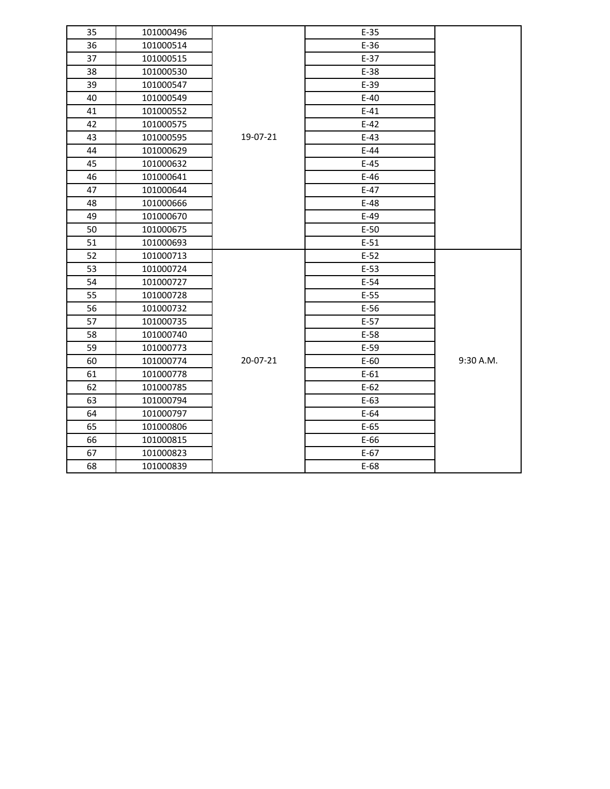| 35 | 101000496 |          | $E-35$ |           |
|----|-----------|----------|--------|-----------|
| 36 | 101000514 |          | $E-36$ |           |
| 37 | 101000515 |          | $E-37$ |           |
| 38 | 101000530 |          | E-38   |           |
| 39 | 101000547 |          | $E-39$ |           |
| 40 | 101000549 |          | $E-40$ |           |
| 41 | 101000552 |          | $E-41$ |           |
| 42 | 101000575 |          | $E-42$ |           |
| 43 | 101000595 | 19-07-21 | $E-43$ |           |
| 44 | 101000629 |          | $E-44$ |           |
| 45 | 101000632 |          | $E-45$ |           |
| 46 | 101000641 |          | $E-46$ |           |
| 47 | 101000644 |          | $E-47$ |           |
| 48 | 101000666 |          | $E-48$ |           |
| 49 | 101000670 |          | $E-49$ |           |
| 50 | 101000675 |          | $E-50$ |           |
| 51 | 101000693 |          | $E-51$ |           |
| 52 | 101000713 |          | $E-52$ |           |
| 53 | 101000724 |          | $E-53$ |           |
| 54 | 101000727 |          | $E-54$ |           |
| 55 | 101000728 |          | $E-55$ |           |
| 56 | 101000732 |          | $E-56$ |           |
| 57 | 101000735 | 20-07-21 | $E-57$ |           |
| 58 | 101000740 |          | $E-58$ |           |
| 59 | 101000773 |          | $E-59$ |           |
| 60 | 101000774 |          | $E-60$ | 9:30 A.M. |
| 61 | 101000778 |          | $E-61$ |           |
| 62 | 101000785 |          | $E-62$ |           |
| 63 | 101000794 |          | $E-63$ |           |
| 64 | 101000797 |          | $E-64$ |           |
| 65 | 101000806 |          | $E-65$ |           |
| 66 | 101000815 |          | $E-66$ |           |
| 67 | 101000823 |          | $E-67$ |           |
| 68 | 101000839 |          | $E-68$ |           |